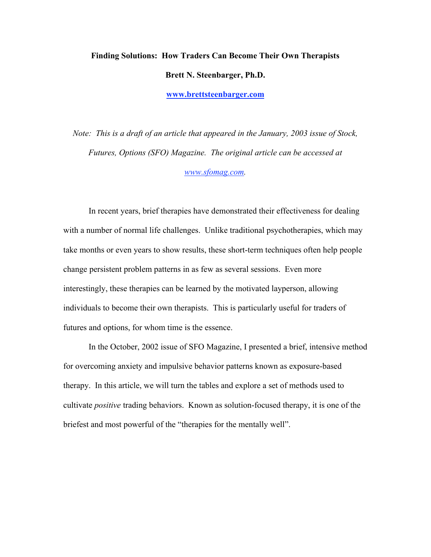# Finding Solutions: How Traders Can Become Their Own Therapists Brett N. Steenbarger, Ph.D. www.brettsteenbarger.com

*Note: This is a draft of an article that appeared in the January, 2003 issue of Stock, Futures, Options (SFO) Magazine. The original article can be accessed at www.sfomag.com.*

In recent years, brief therapies have demonstrated their effectiveness for dealing with a number of normal life challenges. Unlike traditional psychotherapies, which may take months or even years to show results, these short-term techniques often help people change persistent problem patterns in as few as several sessions. Even more interestingly, these therapies can be learned by the motivated layperson, allowing individuals to become their own therapists. This is particularly useful for traders of futures and options, for whom time is the essence.

In the October, 2002 issue of SFO Magazine, I presented a brief, intensive method for overcoming anxiety and impulsive behavior patterns known as exposure-based therapy. In this article, we will turn the tables and explore a set of methods used to cultivate *positive* trading behaviors. Known as solution-focused therapy, it is one of the briefest and most powerful of the "therapies for the mentally well".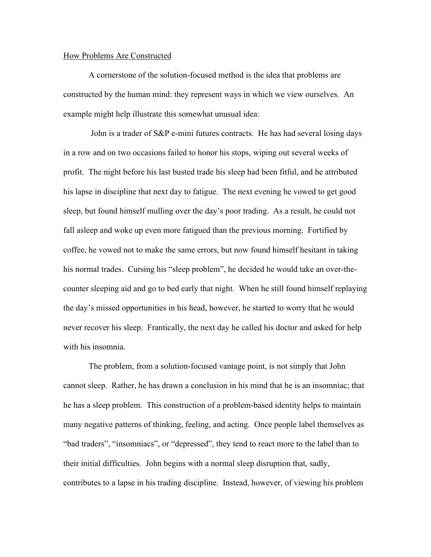### How Problems Are Constructed

A cornerstone of the solution-focused method is the idea that problems are constructed by the human mind: they represent ways in which we view ourselves. An example might help illustrate this somewhat unusual idea:

 John is a trader of S&P e-mini futures contracts. He has had several losing days in a row and on two occasions failed to honor his stops, wiping out several weeks of profit. The night before his last busted trade his sleep had been fitful, and he attributed his lapse in discipline that next day to fatigue. The next evening he vowed to get good sleep, but found himself mulling over the day's poor trading. As a result, he could not fall asleep and woke up even more fatigued than the previous morning. Fortified by coffee, he vowed not to make the same errors, but now found himself hesitant in taking his normal trades. Cursing his "sleep problem", he decided he would take an over-thecounter sleeping aid and go to bed early that night. When he still found himself replaying the day's missed opportunities in his head, however, he started to worry that he would never recover his sleep. Frantically, the next day he called his doctor and asked for help with his insomnia.

The problem, from a solution-focused vantage point, is not simply that John cannot sleep. Rather, he has drawn a conclusion in his mind that he is an insomniac; that he has a sleep problem. This construction of a problem-based identity helps to maintain many negative patterns of thinking, feeling, and acting. Once people label themselves as "bad traders", "insomniacs", or "depressed", they tend to react more to the label than to their initial difficulties. John begins with a normal sleep disruption that, sadly, contributes to a lapse in his trading discipline. Instead, however, of viewing his problem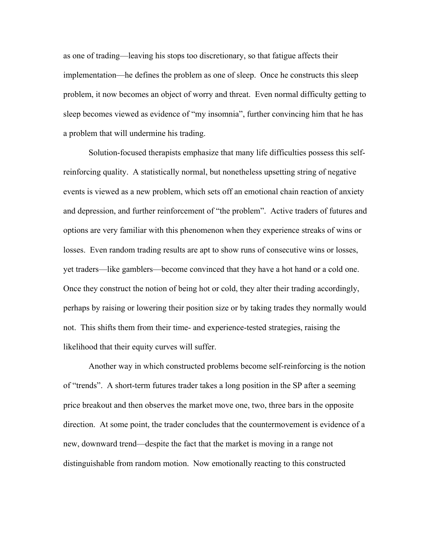as one of trading—leaving his stops too discretionary, so that fatigue affects their implementation—he defines the problem as one of sleep. Once he constructs this sleep problem, it now becomes an object of worry and threat. Even normal difficulty getting to sleep becomes viewed as evidence of "my insomnia", further convincing him that he has a problem that will undermine his trading.

Solution-focused therapists emphasize that many life difficulties possess this selfreinforcing quality. A statistically normal, but nonetheless upsetting string of negative events is viewed as a new problem, which sets off an emotional chain reaction of anxiety and depression, and further reinforcement of "the problem". Active traders of futures and options are very familiar with this phenomenon when they experience streaks of wins or losses. Even random trading results are apt to show runs of consecutive wins or losses, yet traders—like gamblers—become convinced that they have a hot hand or a cold one. Once they construct the notion of being hot or cold, they alter their trading accordingly, perhaps by raising or lowering their position size or by taking trades they normally would not. This shifts them from their time- and experience-tested strategies, raising the likelihood that their equity curves will suffer.

Another way in which constructed problems become self-reinforcing is the notion of "trends". A short-term futures trader takes a long position in the SP after a seeming price breakout and then observes the market move one, two, three bars in the opposite direction. At some point, the trader concludes that the countermovement is evidence of a new, downward trend—despite the fact that the market is moving in a range not distinguishable from random motion. Now emotionally reacting to this constructed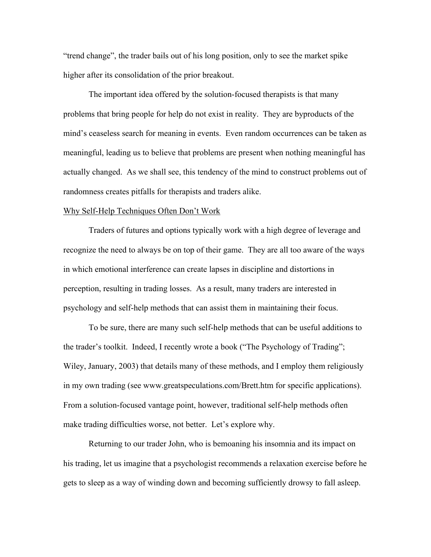"trend change", the trader bails out of his long position, only to see the market spike higher after its consolidation of the prior breakout.

The important idea offered by the solution-focused therapists is that many problems that bring people for help do not exist in reality. They are byproducts of the mind's ceaseless search for meaning in events. Even random occurrences can be taken as meaningful, leading us to believe that problems are present when nothing meaningful has actually changed. As we shall see, this tendency of the mind to construct problems out of randomness creates pitfalls for therapists and traders alike.

#### Why Self-Help Techniques Often Don't Work

Traders of futures and options typically work with a high degree of leverage and recognize the need to always be on top of their game. They are all too aware of the ways in which emotional interference can create lapses in discipline and distortions in perception, resulting in trading losses. As a result, many traders are interested in psychology and self-help methods that can assist them in maintaining their focus.

To be sure, there are many such self-help methods that can be useful additions to the trader's toolkit. Indeed, I recently wrote a book ("The Psychology of Trading"; Wiley, January, 2003) that details many of these methods, and I employ them religiously in my own trading (see www.greatspeculations.com/Brett.htm for specific applications). From a solution-focused vantage point, however, traditional self-help methods often make trading difficulties worse, not better. Let's explore why.

Returning to our trader John, who is bemoaning his insomnia and its impact on his trading, let us imagine that a psychologist recommends a relaxation exercise before he gets to sleep as a way of winding down and becoming sufficiently drowsy to fall asleep.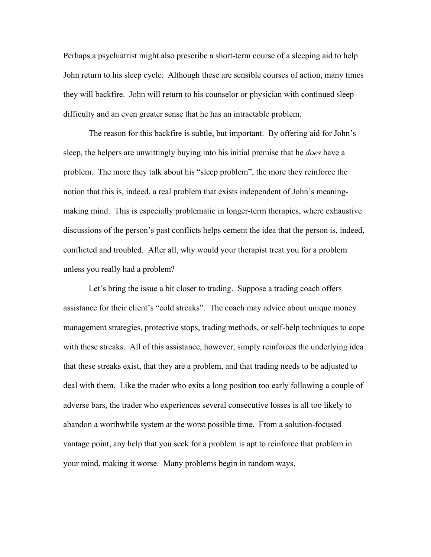Perhaps a psychiatrist might also prescribe a short-term course of a sleeping aid to help John return to his sleep cycle. Although these are sensible courses of action, many times they will backfire. John will return to his counselor or physician with continued sleep difficulty and an even greater sense that he has an intractable problem.

The reason for this backfire is subtle, but important. By offering aid for John's sleep, the helpers are unwittingly buying into his initial premise that he *does* have a problem. The more they talk about his "sleep problem", the more they reinforce the notion that this is, indeed, a real problem that exists independent of John's meaningmaking mind. This is especially problematic in longer-term therapies, where exhaustive discussions of the person's past conflicts helps cement the idea that the person is, indeed, conflicted and troubled. After all, why would your therapist treat you for a problem unless you really had a problem?

Let's bring the issue a bit closer to trading. Suppose a trading coach offers assistance for their client's "cold streaks". The coach may advice about unique money management strategies, protective stops, trading methods, or self-help techniques to cope with these streaks. All of this assistance, however, simply reinforces the underlying idea that these streaks exist, that they are a problem, and that trading needs to be adjusted to deal with them. Like the trader who exits a long position too early following a couple of adverse bars, the trader who experiences several consecutive losses is all too likely to abandon a worthwhile system at the worst possible time. From a solution-focused vantage point, any help that you seek for a problem is apt to reinforce that problem in your mind, making it worse. Many problems begin in random ways,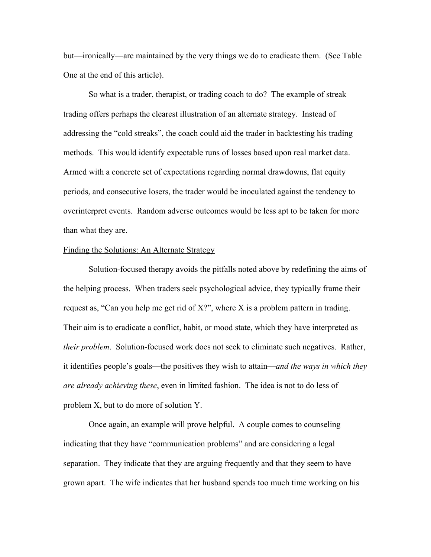but—ironically—are maintained by the very things we do to eradicate them. (See Table One at the end of this article).

So what is a trader, therapist, or trading coach to do? The example of streak trading offers perhaps the clearest illustration of an alternate strategy. Instead of addressing the "cold streaks", the coach could aid the trader in backtesting his trading methods. This would identify expectable runs of losses based upon real market data. Armed with a concrete set of expectations regarding normal drawdowns, flat equity periods, and consecutive losers, the trader would be inoculated against the tendency to overinterpret events. Random adverse outcomes would be less apt to be taken for more than what they are.

#### Finding the Solutions: An Alternate Strategy

Solution-focused therapy avoids the pitfalls noted above by redefining the aims of the helping process. When traders seek psychological advice, they typically frame their request as, "Can you help me get rid of X?", where X is a problem pattern in trading. Their aim is to eradicate a conflict, habit, or mood state, which they have interpreted as *their problem*. Solution-focused work does not seek to eliminate such negatives. Rather, it identifies people's goals—the positives they wish to attain—*and the ways in which they are already achieving these*, even in limited fashion. The idea is not to do less of problem X, but to do more of solution Y.

Once again, an example will prove helpful. A couple comes to counseling indicating that they have "communication problems" and are considering a legal separation. They indicate that they are arguing frequently and that they seem to have grown apart. The wife indicates that her husband spends too much time working on his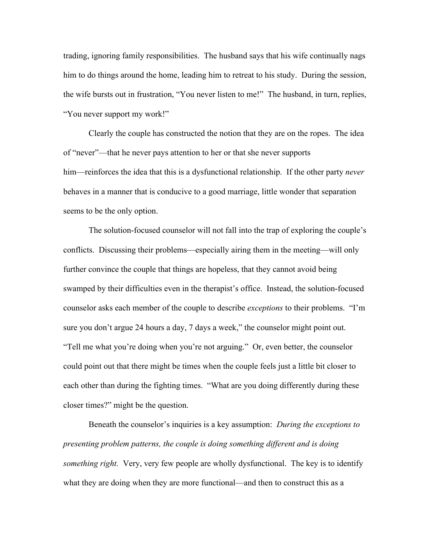trading, ignoring family responsibilities. The husband says that his wife continually nags him to do things around the home, leading him to retreat to his study. During the session, the wife bursts out in frustration, "You never listen to me!" The husband, in turn, replies, "You never support my work!"

Clearly the couple has constructed the notion that they are on the ropes. The idea of "never"—that he never pays attention to her or that she never supports him—reinforces the idea that this is a dysfunctional relationship. If the other party *never* behaves in a manner that is conducive to a good marriage, little wonder that separation seems to be the only option.

The solution-focused counselor will not fall into the trap of exploring the couple's conflicts. Discussing their problems—especially airing them in the meeting—will only further convince the couple that things are hopeless, that they cannot avoid being swamped by their difficulties even in the therapist's office. Instead, the solution-focused counselor asks each member of the couple to describe *exceptions* to their problems. "I'm sure you don't argue 24 hours a day, 7 days a week," the counselor might point out. "Tell me what you're doing when you're not arguing." Or, even better, the counselor could point out that there might be times when the couple feels just a little bit closer to each other than during the fighting times. "What are you doing differently during these closer times?" might be the question.

Beneath the counselor's inquiries is a key assumption: *During the exceptions to presenting problem patterns, the couple is doing something different and is doing something right.* Very, very few people are wholly dysfunctional. The key is to identify what they are doing when they are more functional—and then to construct this as a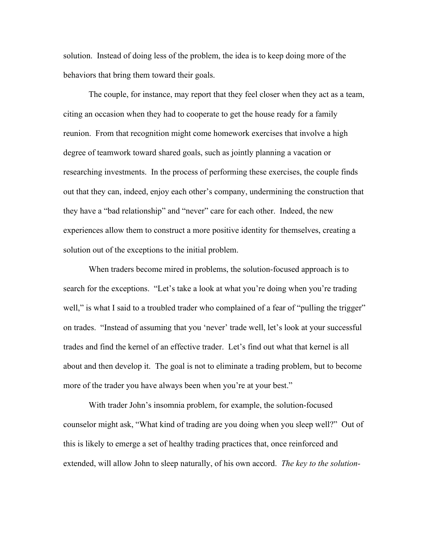solution. Instead of doing less of the problem, the idea is to keep doing more of the behaviors that bring them toward their goals.

The couple, for instance, may report that they feel closer when they act as a team, citing an occasion when they had to cooperate to get the house ready for a family reunion. From that recognition might come homework exercises that involve a high degree of teamwork toward shared goals, such as jointly planning a vacation or researching investments. In the process of performing these exercises, the couple finds out that they can, indeed, enjoy each other's company, undermining the construction that they have a "bad relationship" and "never" care for each other. Indeed, the new experiences allow them to construct a more positive identity for themselves, creating a solution out of the exceptions to the initial problem.

When traders become mired in problems, the solution-focused approach is to search for the exceptions. "Let's take a look at what you're doing when you're trading well," is what I said to a troubled trader who complained of a fear of "pulling the trigger" on trades. "Instead of assuming that you 'never' trade well, let's look at your successful trades and find the kernel of an effective trader. Let's find out what that kernel is all about and then develop it. The goal is not to eliminate a trading problem, but to become more of the trader you have always been when you're at your best."

With trader John's insomnia problem, for example, the solution-focused counselor might ask, "What kind of trading are you doing when you sleep well?" Out of this is likely to emerge a set of healthy trading practices that, once reinforced and extended, will allow John to sleep naturally, of his own accord. *The key to the solution-*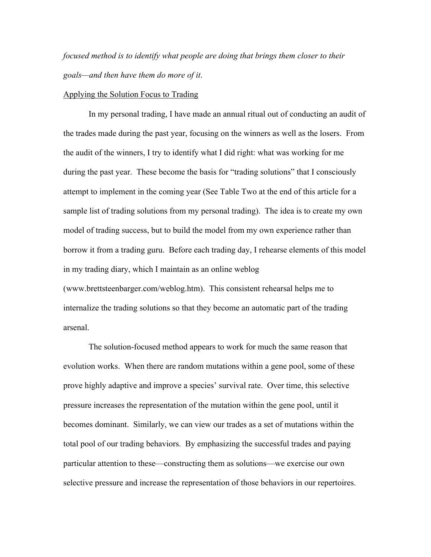*focused method is to identify what people are doing that brings them closer to their goals—and then have them do more of it*.

#### Applying the Solution Focus to Trading

In my personal trading, I have made an annual ritual out of conducting an audit of the trades made during the past year, focusing on the winners as well as the losers. From the audit of the winners, I try to identify what I did right: what was working for me during the past year. These become the basis for "trading solutions" that I consciously attempt to implement in the coming year (See Table Two at the end of this article for a sample list of trading solutions from my personal trading). The idea is to create my own model of trading success, but to build the model from my own experience rather than borrow it from a trading guru. Before each trading day, I rehearse elements of this model in my trading diary, which I maintain as an online weblog (www.brettsteenbarger.com/weblog.htm). This consistent rehearsal helps me to internalize the trading solutions so that they become an automatic part of the trading arsenal.

The solution-focused method appears to work for much the same reason that evolution works. When there are random mutations within a gene pool, some of these prove highly adaptive and improve a species' survival rate. Over time, this selective pressure increases the representation of the mutation within the gene pool, until it becomes dominant. Similarly, we can view our trades as a set of mutations within the total pool of our trading behaviors. By emphasizing the successful trades and paying particular attention to these—constructing them as solutions—we exercise our own selective pressure and increase the representation of those behaviors in our repertoires.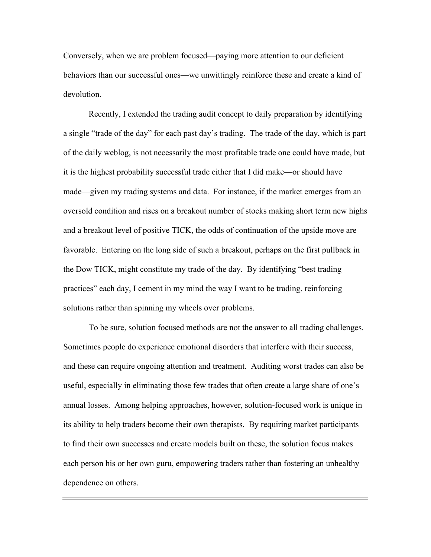Conversely, when we are problem focused—paying more attention to our deficient behaviors than our successful ones—we unwittingly reinforce these and create a kind of devolution.

Recently, I extended the trading audit concept to daily preparation by identifying a single "trade of the day" for each past day's trading. The trade of the day, which is part of the daily weblog, is not necessarily the most profitable trade one could have made, but it is the highest probability successful trade either that I did make—or should have made—given my trading systems and data. For instance, if the market emerges from an oversold condition and rises on a breakout number of stocks making short term new highs and a breakout level of positive TICK, the odds of continuation of the upside move are favorable. Entering on the long side of such a breakout, perhaps on the first pullback in the Dow TICK, might constitute my trade of the day. By identifying "best trading practices" each day, I cement in my mind the way I want to be trading, reinforcing solutions rather than spinning my wheels over problems.

To be sure, solution focused methods are not the answer to all trading challenges. Sometimes people do experience emotional disorders that interfere with their success, and these can require ongoing attention and treatment. Auditing worst trades can also be useful, especially in eliminating those few trades that often create a large share of one's annual losses. Among helping approaches, however, solution-focused work is unique in its ability to help traders become their own therapists. By requiring market participants to find their own successes and create models built on these, the solution focus makes each person his or her own guru, empowering traders rather than fostering an unhealthy dependence on others.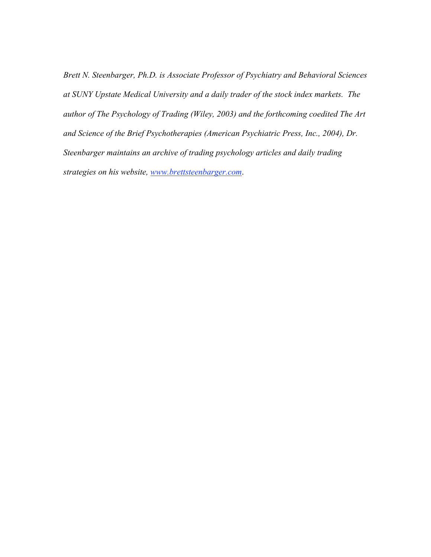*Brett N. Steenbarger, Ph.D. is Associate Professor of Psychiatry and Behavioral Sciences at SUNY Upstate Medical University and a daily trader of the stock index markets. The author of The Psychology of Trading (Wiley, 2003) and the forthcoming coedited The Art and Science of the Brief Psychotherapies (American Psychiatric Press, Inc., 2004), Dr. Steenbarger maintains an archive of trading psychology articles and daily trading strategies on his website, www.brettsteenbarger.com*.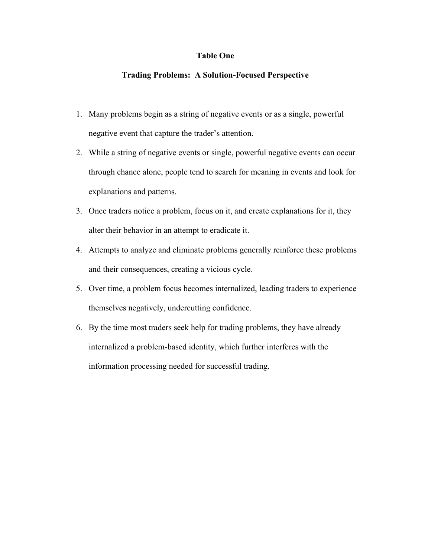## Table One

## Trading Problems: A Solution-Focused Perspective

- 1. Many problems begin as a string of negative events or as a single, powerful negative event that capture the trader's attention.
- 2. While a string of negative events or single, powerful negative events can occur through chance alone, people tend to search for meaning in events and look for explanations and patterns.
- 3. Once traders notice a problem, focus on it, and create explanations for it, they alter their behavior in an attempt to eradicate it.
- 4. Attempts to analyze and eliminate problems generally reinforce these problems and their consequences, creating a vicious cycle.
- 5. Over time, a problem focus becomes internalized, leading traders to experience themselves negatively, undercutting confidence.
- 6. By the time most traders seek help for trading problems, they have already internalized a problem-based identity, which further interferes with the information processing needed for successful trading.